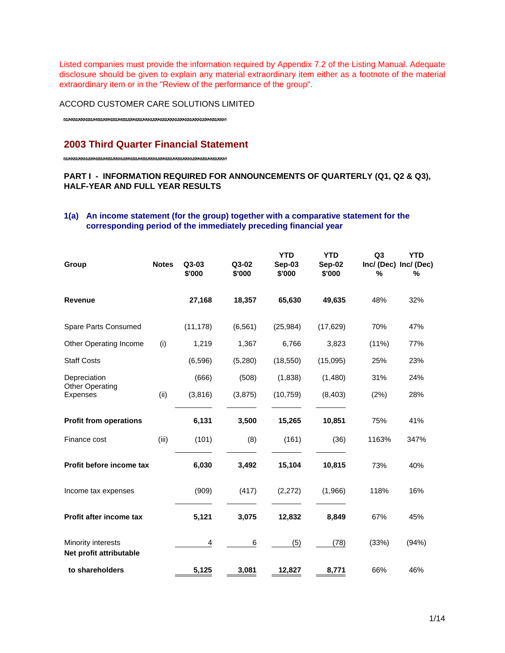Listed companies must provide the information required by Appendix 7.2 of the Listing Manual. Adequate disclosure should be given to explain any material extraordinary item either as a footnote of the material extraordinary item or in the "Review of the performance of the group".

ACCORD CUSTOMER CARE SOLUTIONS LIMITED

# **2003 Third Quarter Financial Statement**

## **PART I - INFORMATION REQUIRED FOR ANNOUNCEMENTS OF QUARTERLY (Q1, Q2 & Q3), HALF-YEAR AND FULL YEAR RESULTS**

## **1(a) An income statement (for the group) together with a comparative statement for the corresponding period of the immediately preceding financial year**

| Group                                         | <b>Notes</b> | $Q3-03$<br>\$'000 | Q3-02<br>\$'000 | <b>YTD</b><br>Sep-03<br>\$'000 | <b>YTD</b><br>Sep-02<br>\$'000 | Q <sub>3</sub><br>Inc/ (Dec) Inc/ (Dec)<br>% | <b>YTD</b><br>% |
|-----------------------------------------------|--------------|-------------------|-----------------|--------------------------------|--------------------------------|----------------------------------------------|-----------------|
| <b>Revenue</b>                                |              | 27,168            | 18,357          | 65,630                         | 49,635                         | 48%                                          | 32%             |
| Spare Parts Consumed                          |              | (11, 178)         | (6, 561)        | (25, 984)                      | (17, 629)                      | 70%                                          | 47%             |
| Other Operating Income                        | (i)          | 1,219             | 1,367           | 6,766                          | 3,823                          | $(11\%)$                                     | 77%             |
| <b>Staff Costs</b>                            |              | (6,596)           | (5,280)         | (18, 550)                      | (15,095)                       | 25%                                          | 23%             |
| Depreciation                                  |              | (666)             | (508)           | (1,838)                        | (1,480)                        | 31%                                          | 24%             |
| <b>Other Operating</b><br><b>Expenses</b>     | (ii)         | (3,816)           | (3,875)         | (10, 759)                      | (8, 403)                       | (2%)                                         | 28%             |
| <b>Profit from operations</b>                 |              | 6,131             | 3,500           | 15,265                         | 10,851                         | 75%                                          | 41%             |
| Finance cost                                  | (iii)        | (101)             | (8)             | (161)                          | (36)                           | 1163%                                        | 347%            |
| Profit before income tax                      |              | 6,030             | 3,492           | 15,104                         | 10,815                         | 73%                                          | 40%             |
| Income tax expenses                           |              | (909)             | (417)           | (2,272)                        | (1,966)                        | 118%                                         | 16%             |
| Profit after income tax                       |              | 5,121             | 3,075           | 12,832                         | 8,849                          | 67%                                          | 45%             |
| Minority interests<br>Net profit attributable |              | 4                 | 6               | (5)                            | (78)                           | (33%)                                        | (94%)           |
| to shareholders                               |              | 5,125             | 3,081           | 12,827                         | 8,771                          | 66%                                          | 46%             |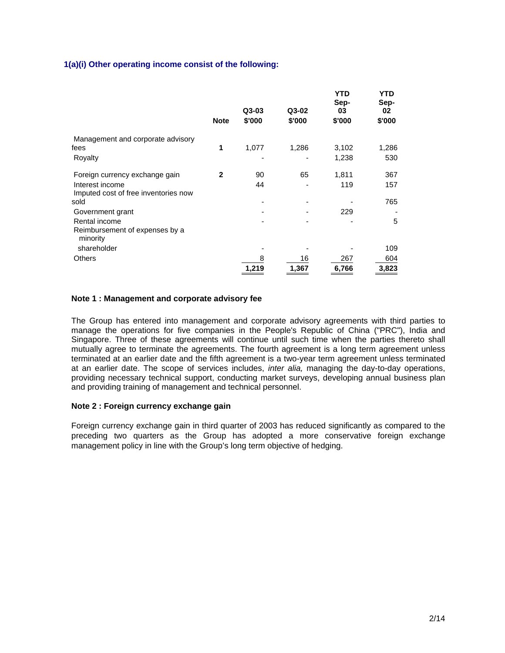## **1(a)(i) Other operating income consist of the following:**

|                                                             | <b>Note</b> | $Q3-03$<br>\$'000 | Q3-02<br>\$'000 | YTD<br>Sep-<br>03<br>\$'000 | <b>YTD</b><br>Sep-<br>02<br>\$'000 |
|-------------------------------------------------------------|-------------|-------------------|-----------------|-----------------------------|------------------------------------|
| Management and corporate advisory                           |             |                   |                 |                             |                                    |
| fees                                                        | 1           | 1,077             | 1,286           | 3,102                       | 1,286                              |
| Royalty                                                     |             |                   |                 | 1,238                       | 530                                |
| Foreign currency exchange gain                              | 2           | 90                | 65              | 1,811                       | 367                                |
| Interest income<br>Imputed cost of free inventories now     |             | 44                |                 | 119                         | 157                                |
| sold                                                        |             |                   |                 |                             | 765                                |
| Government grant                                            |             |                   |                 | 229                         |                                    |
| Rental income<br>Reimbursement of expenses by a<br>minority |             |                   |                 |                             | 5                                  |
| shareholder                                                 |             |                   |                 |                             | 109                                |
| <b>Others</b>                                               |             | 8                 | 16              | 267                         | 604                                |
|                                                             |             | 1,219             | 1,367           | 6,766                       | 3,823                              |

#### **Note 1 : Management and corporate advisory fee**

The Group has entered into management and corporate advisory agreements with third parties to manage the operations for five companies in the People's Republic of China ("PRC"), India and Singapore. Three of these agreements will continue until such time when the parties thereto shall mutually agree to terminate the agreements. The fourth agreement is a long term agreement unless terminated at an earlier date and the fifth agreement is a two-year term agreement unless terminated at an earlier date. The scope of services includes, *inter alia,* managing the day-to-day operations, providing necessary technical support, conducting market surveys, developing annual business plan and providing training of management and technical personnel.

#### **Note 2 : Foreign currency exchange gain**

Foreign currency exchange gain in third quarter of 2003 has reduced significantly as compared to the preceding two quarters as the Group has adopted a more conservative foreign exchange management policy in line with the Group's long term objective of hedging.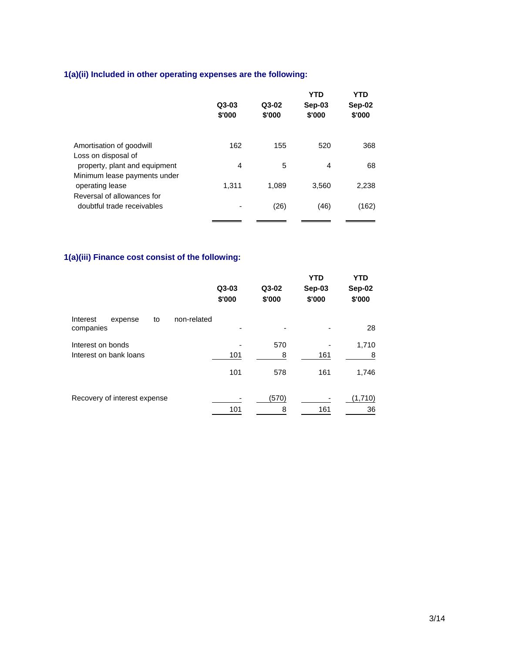# **1(a)(ii) Included in other operating expenses are the following:**

|                                                               | Q3-03<br>\$'000 | $Q3-02$<br>\$'000 | <b>YTD</b><br>Sep-03<br>\$'000 | <b>YTD</b><br>Sep-02<br>\$'000 |
|---------------------------------------------------------------|-----------------|-------------------|--------------------------------|--------------------------------|
| Amortisation of goodwill<br>Loss on disposal of               | 162             | 155               | 520                            | 368                            |
| property, plant and equipment<br>Minimum lease payments under | 4               | 5                 | 4                              | 68                             |
| operating lease<br>Reversal of allowances for                 | 1.311           | 1,089             | 3,560                          | 2,238                          |
| doubtful trade receivables                                    |                 | (26)              | (46)                           | (162)                          |

# **1(a)(iii) Finance cost consist of the following:**

|                                             |    |             | $Q3-03$<br>\$'000 | Q3-02<br>\$'000 | <b>YTD</b><br>Sep-03<br>\$'000 | <b>YTD</b><br>Sep-02<br>\$'000 |
|---------------------------------------------|----|-------------|-------------------|-----------------|--------------------------------|--------------------------------|
| Interest<br>expense<br>companies            | to | non-related |                   |                 |                                | 28                             |
| Interest on bonds<br>Interest on bank loans |    |             | 101               | 570<br>8        | 161                            | 1,710<br>8                     |
|                                             |    |             | 101               | 578             | 161                            | 1,746                          |
| Recovery of interest expense                |    |             | 101               | (570)<br>8      | 161                            | (1,710)<br>36                  |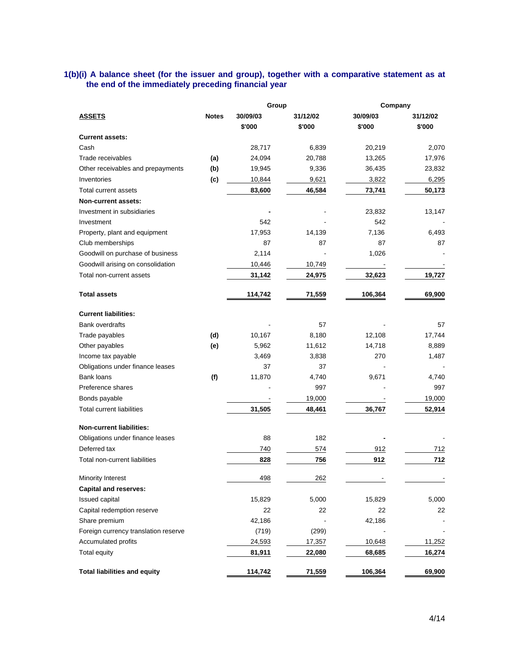#### **1(b)(i) A balance sheet (for the issuer and group), together with a comparative statement as at the end of the immediately preceding financial year**

|                                      |              | Group    |          | Company  |          |
|--------------------------------------|--------------|----------|----------|----------|----------|
| <b>ASSETS</b>                        | <b>Notes</b> | 30/09/03 | 31/12/02 | 30/09/03 | 31/12/02 |
|                                      |              | \$'000   | \$'000   | \$'000   | \$'000   |
| <b>Current assets:</b>               |              |          |          |          |          |
| Cash                                 |              | 28,717   | 6,839    | 20,219   | 2,070    |
| Trade receivables                    | (a)          | 24,094   | 20,788   | 13,265   | 17,976   |
| Other receivables and prepayments    | (b)          | 19,945   | 9,336    | 36,435   | 23,832   |
| Inventories                          | (c)          | 10,844   | 9,621    | 3,822    | 6,295    |
| <b>Total current assets</b>          |              | 83,600   | 46,584   | 73,741   | 50,173   |
| Non-current assets:                  |              |          |          |          |          |
| Investment in subsidiaries           |              |          |          | 23,832   | 13,147   |
| Investment                           |              | 542      |          | 542      |          |
| Property, plant and equipment        |              | 17,953   | 14,139   | 7,136    | 6,493    |
| Club memberships                     |              | 87       | 87       | 87       | 87       |
| Goodwill on purchase of business     |              | 2,114    |          | 1,026    |          |
| Goodwill arising on consolidation    |              | 10,446   | 10,749   |          |          |
| Total non-current assets             |              | 31,142   | 24,975   | 32,623   | 19,727   |
| <b>Total assets</b>                  |              | 114,742  | 71,559   | 106,364  | 69,900   |
| <b>Current liabilities:</b>          |              |          |          |          |          |
| <b>Bank overdrafts</b>               |              |          | 57       |          | 57       |
| Trade payables                       | (d)          | 10,167   | 8,180    | 12,108   | 17,744   |
| Other payables                       | (e)          | 5,962    | 11,612   | 14,718   | 8,889    |
| Income tax payable                   |              | 3,469    | 3,838    | 270      | 1,487    |
| Obligations under finance leases     |              | 37       | 37       |          |          |
| Bank loans                           | (f)          | 11,870   | 4,740    | 9,671    | 4,740    |
| Preference shares                    |              |          | 997      |          | 997      |
| Bonds payable                        |              |          | 19,000   |          | 19,000   |
| <b>Total current liabilities</b>     |              | 31,505   | 48,461   | 36,767   | 52,914   |
| <b>Non-current liabilities:</b>      |              |          |          |          |          |
| Obligations under finance leases     |              | 88       | 182      |          |          |
| Deferred tax                         |              | 740      | 574      | 912      | 712      |
| Total non-current liabilities        |              | 828      | 756      | 912      | 712      |
| Minority Interest                    |              | 498      | 262      |          |          |
| <b>Capital and reserves:</b>         |              |          |          |          |          |
| Issued capital                       |              | 15,829   | 5,000    | 15,829   | 5,000    |
| Capital redemption reserve           |              | 22       | 22       | 22       | 22       |
| Share premium                        |              | 42,186   |          | 42,186   |          |
| Foreign currency translation reserve |              | (719)    | (299)    |          |          |
| Accumulated profits                  |              | 24,593   | 17,357   | 10,648   | 11,252   |
| Total equity                         |              | 81,911   | 22,080   | 68,685   | 16,274   |
| <b>Total liabilities and equity</b>  |              | 114,742  | 71,559   | 106,364  | 69,900   |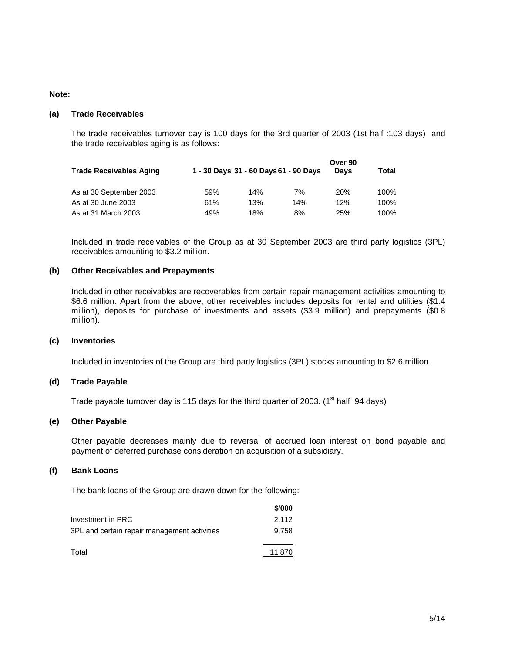#### **Note:**

#### **(a) Trade Receivables**

The trade receivables turnover day is 100 days for the 3rd quarter of 2003 (1st half :103 days) and the trade receivables aging is as follows:

| <b>Trade Receivables Aging</b> |     |     | 1 - 30 Days 31 - 60 Days 61 - 90 Days | Over 90<br>Davs | Total |
|--------------------------------|-----|-----|---------------------------------------|-----------------|-------|
| As at 30 September 2003        | 59% | 14% | 7%                                    | <b>20%</b>      | 100%  |
| As at 30 June 2003             | 61% | 13% | 14%                                   | 12%             | 100%  |
| As at 31 March 2003            | 49% | 18% | 8%                                    | 25%             | 100%  |

Included in trade receivables of the Group as at 30 September 2003 are third party logistics (3PL) receivables amounting to \$3.2 million.

#### **(b) Other Receivables and Prepayments**

Included in other receivables are recoverables from certain repair management activities amounting to \$6.6 million. Apart from the above, other receivables includes deposits for rental and utilities (\$1.4 million), deposits for purchase of investments and assets (\$3.9 million) and prepayments (\$0.8 million).

#### **(c) Inventories**

Included in inventories of the Group are third party logistics (3PL) stocks amounting to \$2.6 million.

#### **(d) Trade Payable**

Trade payable turnover day is 115 days for the third quarter of 2003. ( $1<sup>st</sup>$  half 94 days)

#### **(e) Other Payable**

Other payable decreases mainly due to reversal of accrued loan interest on bond payable and payment of deferred purchase consideration on acquisition of a subsidiary.

#### **(f) Bank Loans**

The bank loans of the Group are drawn down for the following:

|                                              | \$'000 |
|----------------------------------------------|--------|
| Investment in PRC                            | 2.112  |
| 3PL and certain repair management activities | 9.758  |
| Total                                        | 11.870 |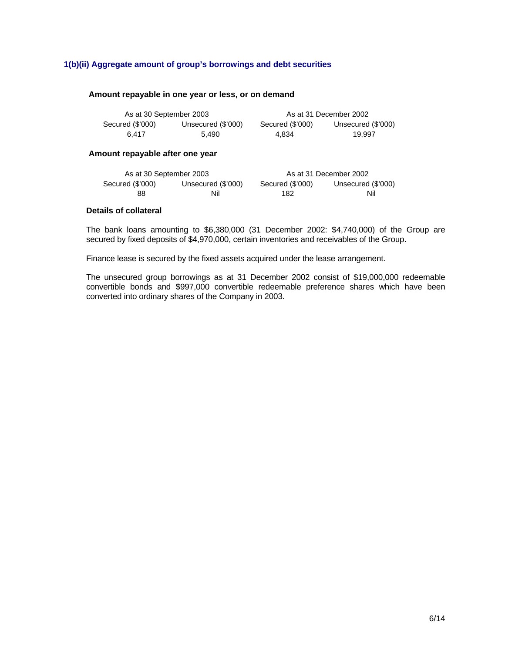#### **1(b)(ii) Aggregate amount of group's borrowings and debt securities**

#### **Amount repayable in one year or less, or on demand**

| As at 30 September 2003 |                    |                  | As at 31 December 2002 |
|-------------------------|--------------------|------------------|------------------------|
| Secured (\$'000)        | Unsecured (\$'000) | Secured (\$'000) | Unsecured (\$'000)     |
| 6.417                   | 5.490              | 4.834            | 19.997                 |

#### **Amount repayable after one year**

| As at 30 September 2003 |                    |                  | As at 31 December 2002 |
|-------------------------|--------------------|------------------|------------------------|
| Secured (\$'000)        | Unsecured (\$'000) | Secured (\$'000) | Unsecured (\$'000)     |
| 88                      | Nil                | 182              | Nil                    |

#### **Details of collateral**

The bank loans amounting to \$6,380,000 (31 December 2002: \$4,740,000) of the Group are secured by fixed deposits of \$4,970,000, certain inventories and receivables of the Group.

Finance lease is secured by the fixed assets acquired under the lease arrangement.

The unsecured group borrowings as at 31 December 2002 consist of \$19,000,000 redeemable convertible bonds and \$997,000 convertible redeemable preference shares which have been converted into ordinary shares of the Company in 2003.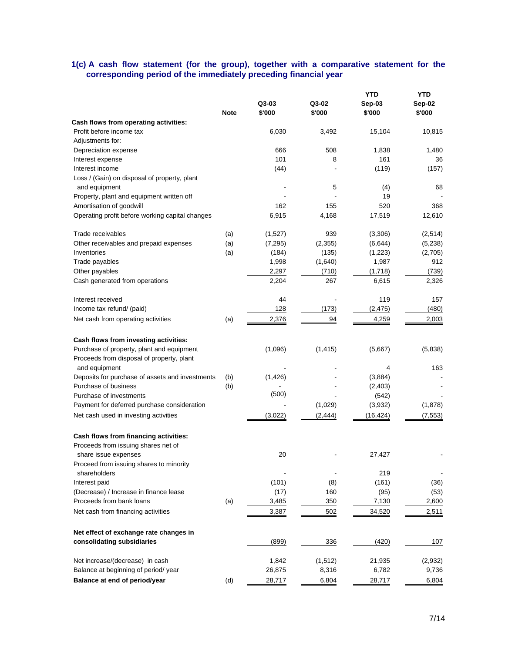#### **1(c) A cash flow statement (for the group), together with a comparative statement for the corresponding period of the immediately preceding financial year**

|                                                            | <b>Note</b> | Q3-03<br>\$'000 | Q3-02<br>\$'000 | YTD<br>Sep-03<br>\$'000 | YTD<br>Sep-02<br>\$'000 |
|------------------------------------------------------------|-------------|-----------------|-----------------|-------------------------|-------------------------|
| Cash flows from operating activities:                      |             |                 |                 |                         |                         |
| Profit before income tax                                   |             | 6,030           | 3,492           | 15,104                  | 10,815                  |
| Adjustments for:                                           |             |                 |                 |                         |                         |
| Depreciation expense                                       |             | 666             | 508             | 1,838                   | 1,480                   |
| Interest expense                                           |             | 101             | 8               | 161                     | 36                      |
| Interest income                                            |             | (44)            |                 | (119)                   | (157)                   |
| Loss / (Gain) on disposal of property, plant               |             |                 |                 |                         |                         |
| and equipment                                              |             |                 | 5               | (4)                     | 68                      |
| Property, plant and equipment written off                  |             |                 |                 | 19                      |                         |
| Amortisation of goodwill                                   |             | 162             | 155             | 520                     | 368                     |
| Operating profit before working capital changes            |             | 6,915           | 4,168           | 17,519                  | 12,610                  |
| Trade receivables                                          | (a)         | (1,527)         | 939             | (3,306)                 | (2,514)                 |
| Other receivables and prepaid expenses                     | (a)         | (7, 295)        | (2, 355)        | (6, 644)                | (5,238)                 |
| Inventories                                                | (a)         | (184)           | (135)           | (1,223)                 | (2,705)                 |
| Trade payables                                             |             | 1,998           | (1,640)         | 1,987                   | 912                     |
| Other payables                                             |             | 2,297           | (710)           | (1,718)                 | (739)                   |
| Cash generated from operations                             |             | 2,204           | 267             | 6,615                   | 2,326                   |
| Interest received                                          |             | 44              |                 | 119                     | 157                     |
| Income tax refund/ (paid)                                  |             | 128             | (173)           | (2, 475)                | (480)                   |
| Net cash from operating activities                         | (a)         | 2,376           | 94              | 4,259                   | 2,003                   |
| Cash flows from investing activities:                      |             |                 |                 |                         |                         |
| Purchase of property, plant and equipment                  |             | (1,096)         | (1, 415)        | (5,667)                 | (5,838)                 |
| Proceeds from disposal of property, plant<br>and equipment |             |                 |                 | 4                       | 163                     |
| Deposits for purchase of assets and investments            | (b)         | (1,426)         |                 | (3,884)                 |                         |
| Purchase of business                                       | (b)         |                 |                 | (2,403)                 |                         |
| Purchase of investments                                    |             | (500)           |                 | (542)                   |                         |
| Payment for deferred purchase consideration                |             |                 | (1,029)         | (3,932)                 | (1,878)                 |
| Net cash used in investing activities                      |             | (3,022)         | (2, 444)        | (16, 424)               | (7, 553)                |
| Cash flows from financing activities:                      |             |                 |                 |                         |                         |
| Proceeds from issuing shares net of                        |             |                 |                 |                         |                         |
| share issue expenses                                       |             | 20              |                 | 27,427                  |                         |
| Proceed from issuing shares to minority                    |             |                 |                 |                         |                         |
| shareholders                                               |             |                 |                 | 219                     |                         |
| Interest paid                                              |             | (101)           | (8)             | (161)                   | (36)                    |
| (Decrease) / Increase in finance lease                     |             | (17)            | 160             | (95)                    | (53)                    |
| Proceeds from bank loans                                   | (a)         | 3,485           | 350             | 7,130                   | 2,600                   |
| Net cash from financing activities                         |             | 3,387           | 502             | 34,520                  | 2,511                   |
| Net effect of exchange rate changes in                     |             |                 |                 |                         |                         |
| consolidating subsidiaries                                 |             | (899)           | 336             | (420)                   | 107                     |
| Net increase/(decrease) in cash                            |             | 1,842           | (1, 512)        | 21,935                  | (2,932)                 |
| Balance at beginning of period/ year                       |             | 26,875          | 8,316           | 6,782                   | 9,736                   |
| Balance at end of period/year                              | (d)         | 28,717          | 6,804           | 28,717                  | 6,804                   |
|                                                            |             |                 |                 |                         |                         |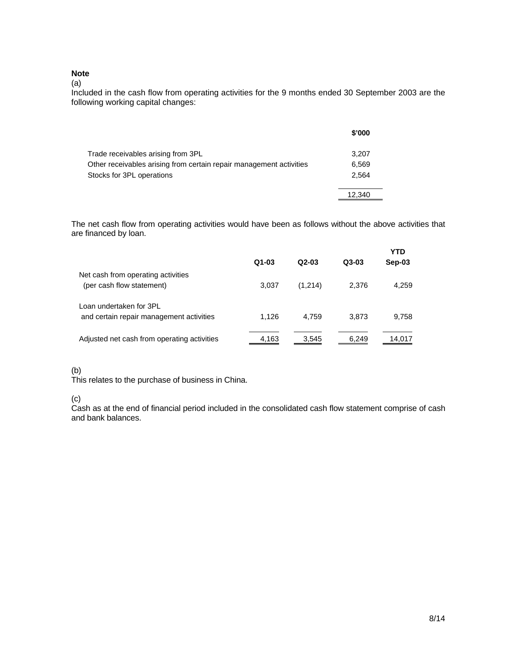## **Note**

(a)

Included in the cash flow from operating activities for the 9 months ended 30 September 2003 are the following working capital changes:

|                                                                     | \$'000 |
|---------------------------------------------------------------------|--------|
| Trade receivables arising from 3PL                                  | 3,207  |
| Other receivables arising from certain repair management activities | 6.569  |
| Stocks for 3PL operations                                           | 2.564  |
|                                                                     | 12.340 |

The net cash flow from operating activities would have been as follows without the above activities that are financed by loan.

|                                                                     | $Q1-03$ | $Q2-03$ | $Q3-03$ | <b>YTD</b><br>Sep-03 |
|---------------------------------------------------------------------|---------|---------|---------|----------------------|
| Net cash from operating activities<br>(per cash flow statement)     | 3,037   | (1,214) | 2.376   | 4,259                |
| Loan undertaken for 3PL<br>and certain repair management activities | 1.126   | 4.759   | 3.873   | 9,758                |
| Adjusted net cash from operating activities                         | 4,163   | 3.545   | 6,249   | 14.017               |

#### (b)

This relates to the purchase of business in China.

(c)

Cash as at the end of financial period included in the consolidated cash flow statement comprise of cash and bank balances.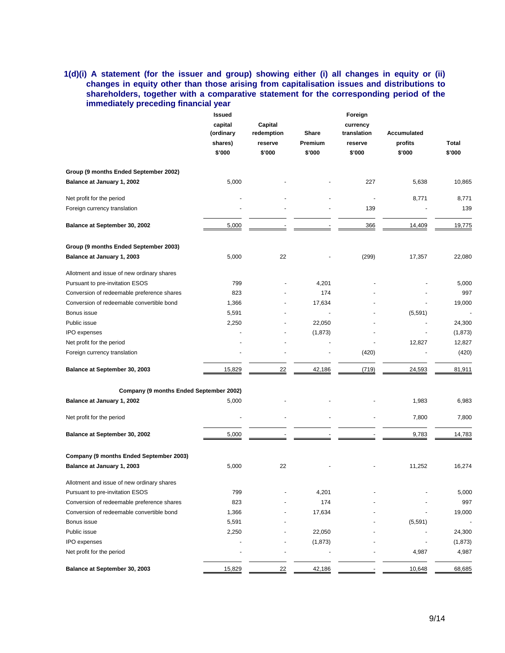## **1(d)(i) A statement (for the issuer and group) showing either (i) all changes in equity or (ii) changes in equity other than those arising from capitalisation issues and distributions to shareholders, together with a comparative statement for the corresponding period of the immediately preceding financial year**

|                                            | <b>Issued</b>      |            |              | Foreign     |             |          |
|--------------------------------------------|--------------------|------------|--------------|-------------|-------------|----------|
|                                            | Capital<br>capital |            |              | currency    |             |          |
|                                            | (ordinary          | redemption | <b>Share</b> | translation | Accumulated |          |
|                                            | shares)            | reserve    | Premium      | reserve     | profits     | Total    |
|                                            | \$'000             | \$'000     | \$'000       | \$'000      | \$'000      | \$'000   |
| Group (9 months Ended September 2002)      |                    |            |              |             |             |          |
| Balance at January 1, 2002                 | 5,000              |            |              | 227         | 5,638       | 10,865   |
| Net profit for the period                  |                    |            |              |             | 8,771       | 8,771    |
| Foreign currency translation               |                    |            |              | 139         |             | 139      |
| Balance at September 30, 2002              | 5,000              |            |              | 366         | 14,409      | 19,775   |
| Group (9 months Ended September 2003)      |                    |            |              |             |             |          |
| Balance at January 1, 2003                 | 5,000              | 22         |              | (299)       | 17,357      | 22,080   |
| Allotment and issue of new ordinary shares |                    |            |              |             |             |          |
| Pursuant to pre-invitation ESOS            | 799                |            | 4,201        |             |             | 5,000    |
| Conversion of redeemable preference shares | 823                |            | 174          |             |             | 997      |
| Conversion of redeemable convertible bond  | 1,366              |            | 17,634       |             |             | 19,000   |
| Bonus issue                                | 5,591              |            |              |             | (5, 591)    |          |
| Public issue                               | 2,250              |            | 22,050       |             |             | 24,300   |
| IPO expenses                               |                    |            | (1, 873)     |             |             | (1, 873) |
| Net profit for the period                  |                    |            |              |             | 12,827      | 12,827   |
| Foreign currency translation               |                    |            |              | (420)       |             | (420)    |
| Balance at September 30, 2003              | 15,829             | 22         | 42,186       | (719)       | 24,593      | 81,911   |
| Company (9 months Ended September 2002)    |                    |            |              |             |             |          |
| Balance at January 1, 2002                 | 5,000              |            |              |             | 1,983       | 6,983    |
| Net profit for the period                  |                    |            |              |             | 7,800       | 7,800    |
| Balance at September 30, 2002              | 5,000              |            |              |             | 9,783       | 14,783   |
| Company (9 months Ended September 2003)    |                    |            |              |             |             |          |
| Balance at January 1, 2003                 | 5,000              | 22         |              |             | 11,252      | 16,274   |
| Allotment and issue of new ordinary shares |                    |            |              |             |             |          |
| Pursuant to pre-invitation ESOS            | 799                |            | 4,201        |             |             | 5,000    |
| Conversion of redeemable preference shares | 823                |            | 174          |             |             | 997      |
| Conversion of redeemable convertible bond  | 1,366              |            | 17,634       |             |             | 19,000   |
| Bonus issue                                | 5,591              |            |              |             | (5, 591)    |          |
| Public issue                               | 2,250              |            | 22,050       |             |             | 24,300   |
| IPO expenses                               |                    |            | (1, 873)     |             |             | (1, 873) |
| Net profit for the period                  |                    |            |              |             | 4,987       | 4,987    |
| Balance at September 30, 2003              | 15,829             | 22         | 42,186       |             | 10,648      | 68,685   |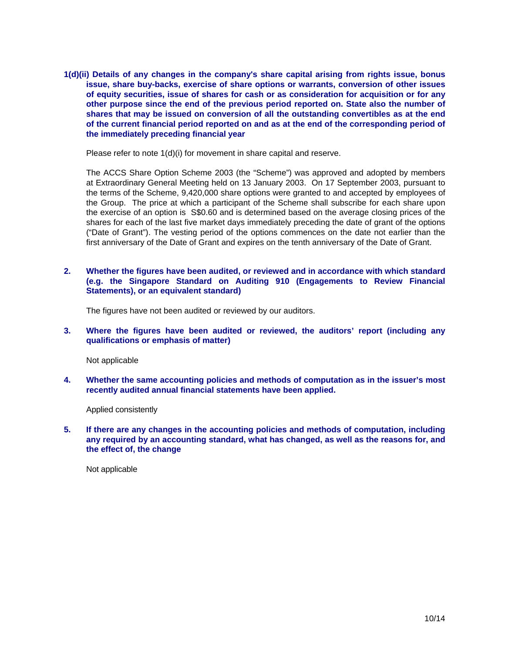**1(d)(ii) Details of any changes in the company's share capital arising from rights issue, bonus issue, share buy-backs, exercise of share options or warrants, conversion of other issues of equity securities, issue of shares for cash or as consideration for acquisition or for any other purpose since the end of the previous period reported on. State also the number of shares that may be issued on conversion of all the outstanding convertibles as at the end of the current financial period reported on and as at the end of the corresponding period of the immediately preceding financial year** 

Please refer to note 1(d)(i) for movement in share capital and reserve.

The ACCS Share Option Scheme 2003 (the "Scheme") was approved and adopted by members at Extraordinary General Meeting held on 13 January 2003. On 17 September 2003, pursuant to the terms of the Scheme, 9,420,000 share options were granted to and accepted by employees of the Group. The price at which a participant of the Scheme shall subscribe for each share upon the exercise of an option is S\$0.60 and is determined based on the average closing prices of the shares for each of the last five market days immediately preceding the date of grant of the options ("Date of Grant"). The vesting period of the options commences on the date not earlier than the first anniversary of the Date of Grant and expires on the tenth anniversary of the Date of Grant.

**2. Whether the figures have been audited, or reviewed and in accordance with which standard (e.g. the Singapore Standard on Auditing 910 (Engagements to Review Financial Statements), or an equivalent standard)** 

The figures have not been audited or reviewed by our auditors.

**3. Where the figures have been audited or reviewed, the auditors' report (including any qualifications or emphasis of matter)** 

Not applicable

**4. Whether the same accounting policies and methods of computation as in the issuer's most recently audited annual financial statements have been applied.** 

Applied consistently

**5. If there are any changes in the accounting policies and methods of computation, including any required by an accounting standard, what has changed, as well as the reasons for, and the effect of, the change** 

Not applicable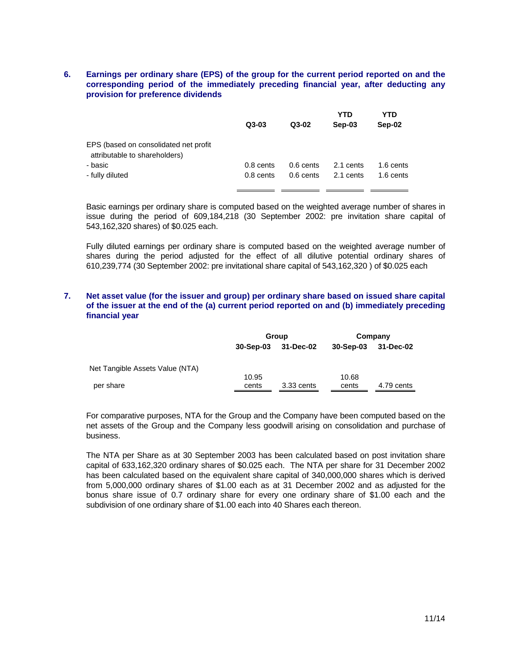#### **6. Earnings per ordinary share (EPS) of the group for the current period reported on and the corresponding period of the immediately preceding financial year, after deducting any provision for preference dividends**

|                                                                        | $Q3-03$     | $Q3-02$     | YTD<br>Sep-03 | YTD<br>Sep-02 |
|------------------------------------------------------------------------|-------------|-------------|---------------|---------------|
| EPS (based on consolidated net profit<br>attributable to shareholders) |             |             |               |               |
| - basic                                                                | 0.8 cents   | $0.6$ cents | 2.1 cents     | 1.6 cents     |
| - fully diluted                                                        | $0.8$ cents | $0.6$ cents | 2.1 cents     | 1.6 cents     |

Basic earnings per ordinary share is computed based on the weighted average number of shares in issue during the period of 609,184,218 (30 September 2002: pre invitation share capital of 543,162,320 shares) of \$0.025 each.

Fully diluted earnings per ordinary share is computed based on the weighted average number of shares during the period adjusted for the effect of all dilutive potential ordinary shares of 610,239,774 (30 September 2002: pre invitational share capital of 543,162,320 ) of \$0.025 each

#### **7. Net asset value (for the issuer and group) per ordinary share based on issued share capital of the issuer at the end of the (a) current period reported on and (b) immediately preceding financial year**

|                                 |           | Group      |           | Company    |
|---------------------------------|-----------|------------|-----------|------------|
|                                 | 30-Sep-03 | 31-Dec-02  | 30-Sep-03 | 31-Dec-02  |
| Net Tangible Assets Value (NTA) |           |            |           |            |
|                                 | 10.95     |            | 10.68     |            |
| per share                       | cents     | 3.33 cents | cents     | 4.79 cents |

For comparative purposes, NTA for the Group and the Company have been computed based on the net assets of the Group and the Company less goodwill arising on consolidation and purchase of business.

The NTA per Share as at 30 September 2003 has been calculated based on post invitation share capital of 633,162,320 ordinary shares of \$0.025 each. The NTA per share for 31 December 2002 has been calculated based on the equivalent share capital of 340,000,000 shares which is derived from 5,000,000 ordinary shares of \$1.00 each as at 31 December 2002 and as adjusted for the bonus share issue of 0.7 ordinary share for every one ordinary share of \$1.00 each and the subdivision of one ordinary share of \$1.00 each into 40 Shares each thereon.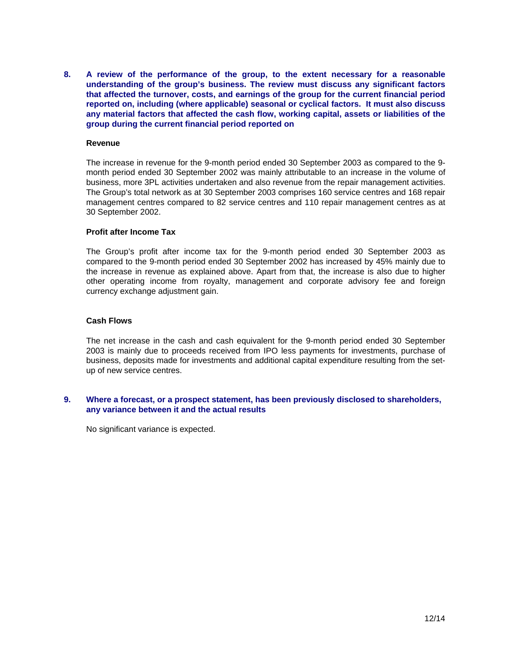**8. A review of the performance of the group, to the extent necessary for a reasonable understanding of the group's business. The review must discuss any significant factors that affected the turnover, costs, and earnings of the group for the current financial period reported on, including (where applicable) seasonal or cyclical factors. It must also discuss any material factors that affected the cash flow, working capital, assets or liabilities of the group during the current financial period reported on** 

#### **Revenue**

The increase in revenue for the 9-month period ended 30 September 2003 as compared to the 9 month period ended 30 September 2002 was mainly attributable to an increase in the volume of business, more 3PL activities undertaken and also revenue from the repair management activities. The Group's total network as at 30 September 2003 comprises 160 service centres and 168 repair management centres compared to 82 service centres and 110 repair management centres as at 30 September 2002.

#### **Profit after Income Tax**

The Group's profit after income tax for the 9-month period ended 30 September 2003 as compared to the 9-month period ended 30 September 2002 has increased by 45% mainly due to the increase in revenue as explained above. Apart from that, the increase is also due to higher other operating income from royalty, management and corporate advisory fee and foreign currency exchange adjustment gain.

#### **Cash Flows**

The net increase in the cash and cash equivalent for the 9-month period ended 30 September 2003 is mainly due to proceeds received from IPO less payments for investments, purchase of business, deposits made for investments and additional capital expenditure resulting from the setup of new service centres.

#### **9. Where a forecast, or a prospect statement, has been previously disclosed to shareholders, any variance between it and the actual results**

No significant variance is expected.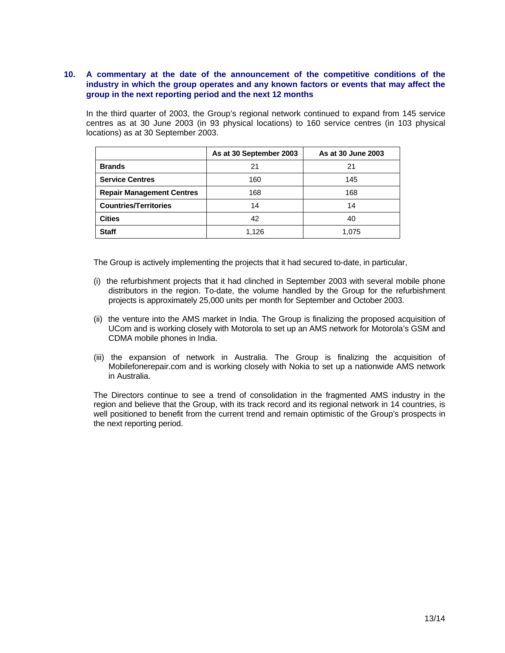#### **10. A commentary at the date of the announcement of the competitive conditions of the industry in which the group operates and any known factors or events that may affect the group in the next reporting period and the next 12 months**

In the third quarter of 2003, the Group's regional network continued to expand from 145 service centres as at 30 June 2003 (in 93 physical locations) to 160 service centres (in 103 physical locations) as at 30 September 2003.

|                                  | As at 30 September 2003 | As at 30 June 2003 |
|----------------------------------|-------------------------|--------------------|
| <b>Brands</b>                    | 21                      | 21                 |
| <b>Service Centres</b>           | 160                     | 145                |
| <b>Repair Management Centres</b> | 168                     | 168                |
| <b>Countries/Territories</b>     | 14                      | 14                 |
| <b>Cities</b>                    | 42                      | 40                 |
| <b>Staff</b>                     | 1,126                   | 1.075              |

The Group is actively implementing the projects that it had secured to-date, in particular,

- (i) the refurbishment projects that it had clinched in September 2003 with several mobile phone distributors in the region. To-date, the volume handled by the Group for the refurbishment projects is approximately 25,000 units per month for September and October 2003.
- (ii) the venture into the AMS market in India. The Group is finalizing the proposed acquisition of UCom and is working closely with Motorola to set up an AMS network for Motorola's GSM and CDMA mobile phones in India.
- (iii) the expansion of network in Australia. The Group is finalizing the acquisition of Mobilefonerepair.com and is working closely with Nokia to set up a nationwide AMS network in Australia.

The Directors continue to see a trend of consolidation in the fragmented AMS industry in the region and believe that the Group, with its track record and its regional network in 14 countries, is well positioned to benefit from the current trend and remain optimistic of the Group's prospects in the next reporting period.